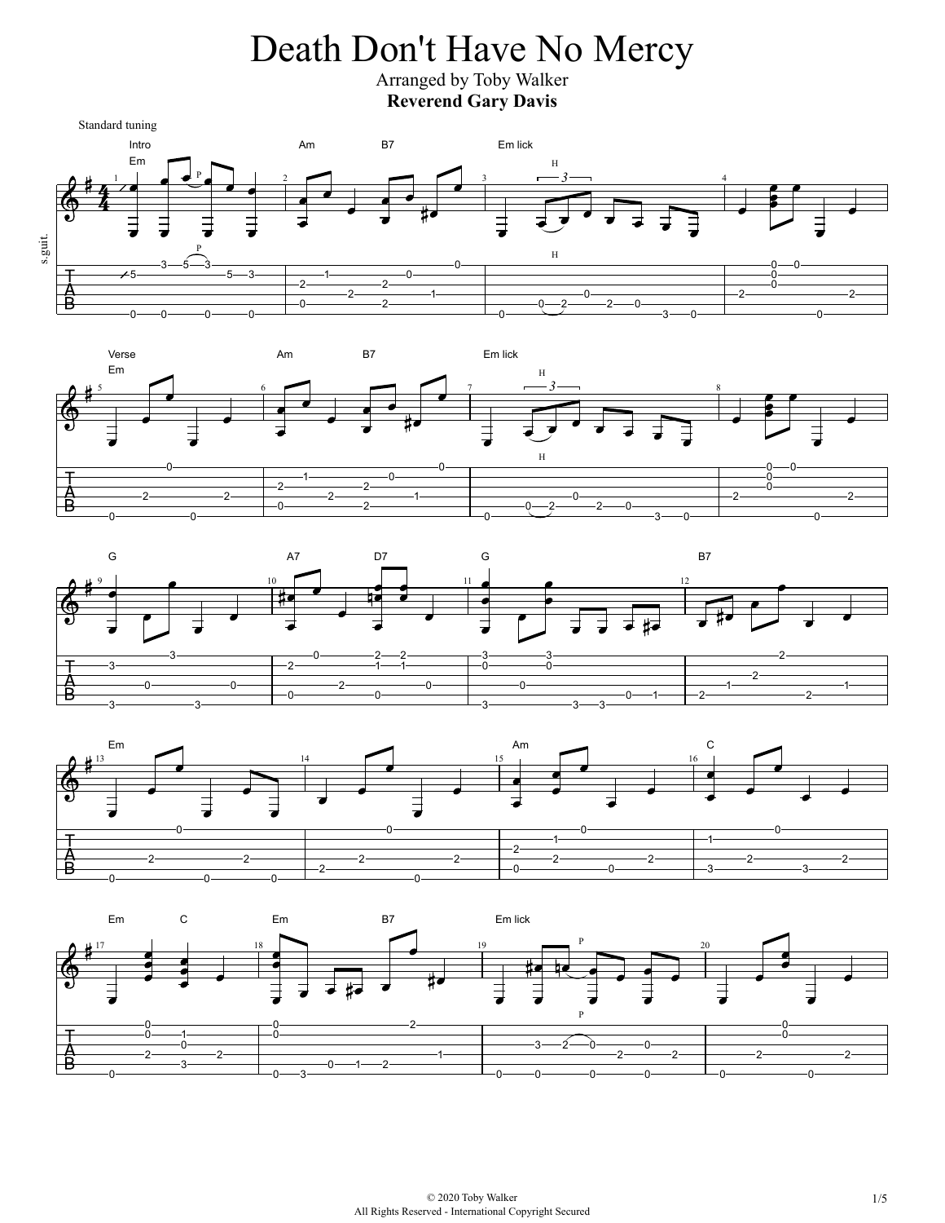## Death Don't Have No Mercy

Arranged by Toby Walker **Reverend Gary Davis**









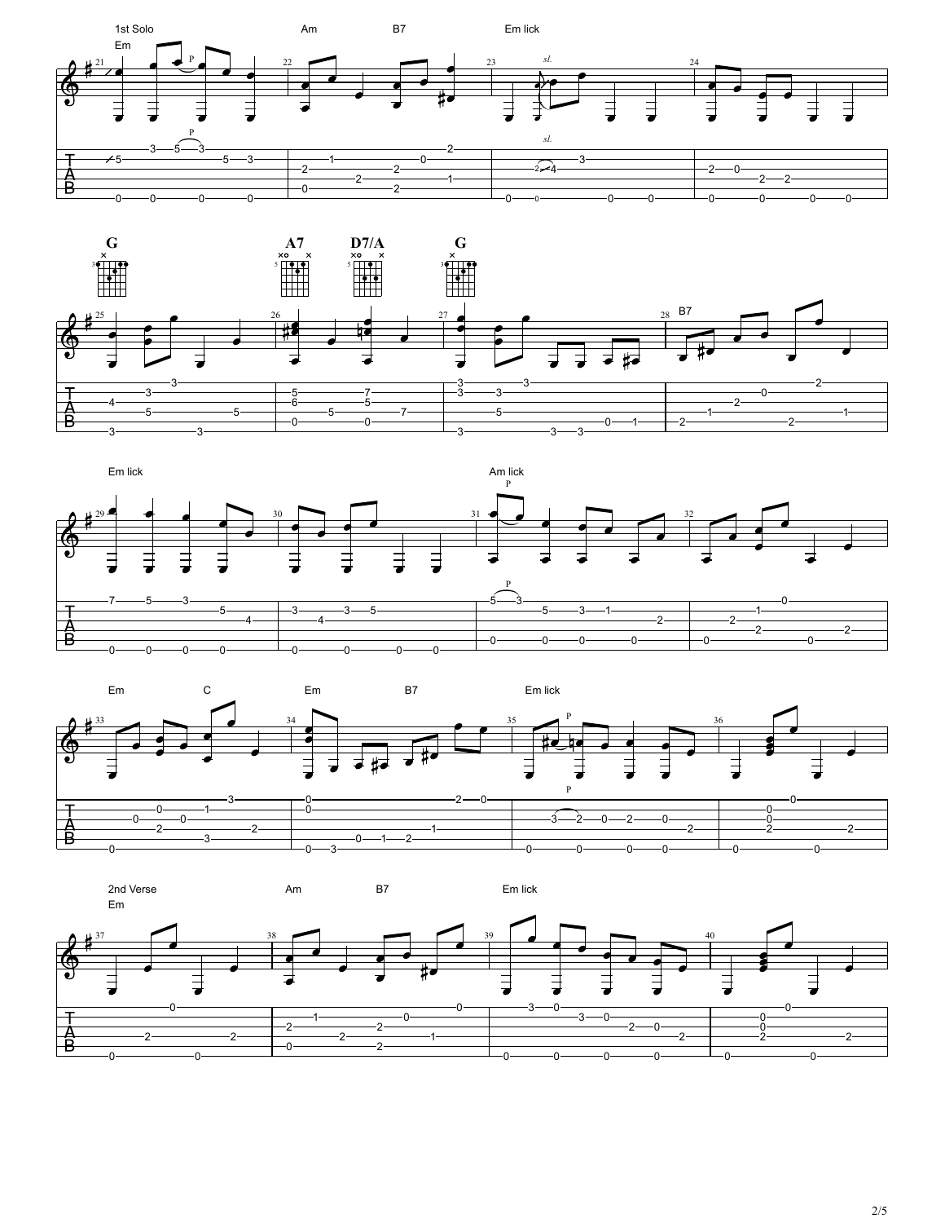







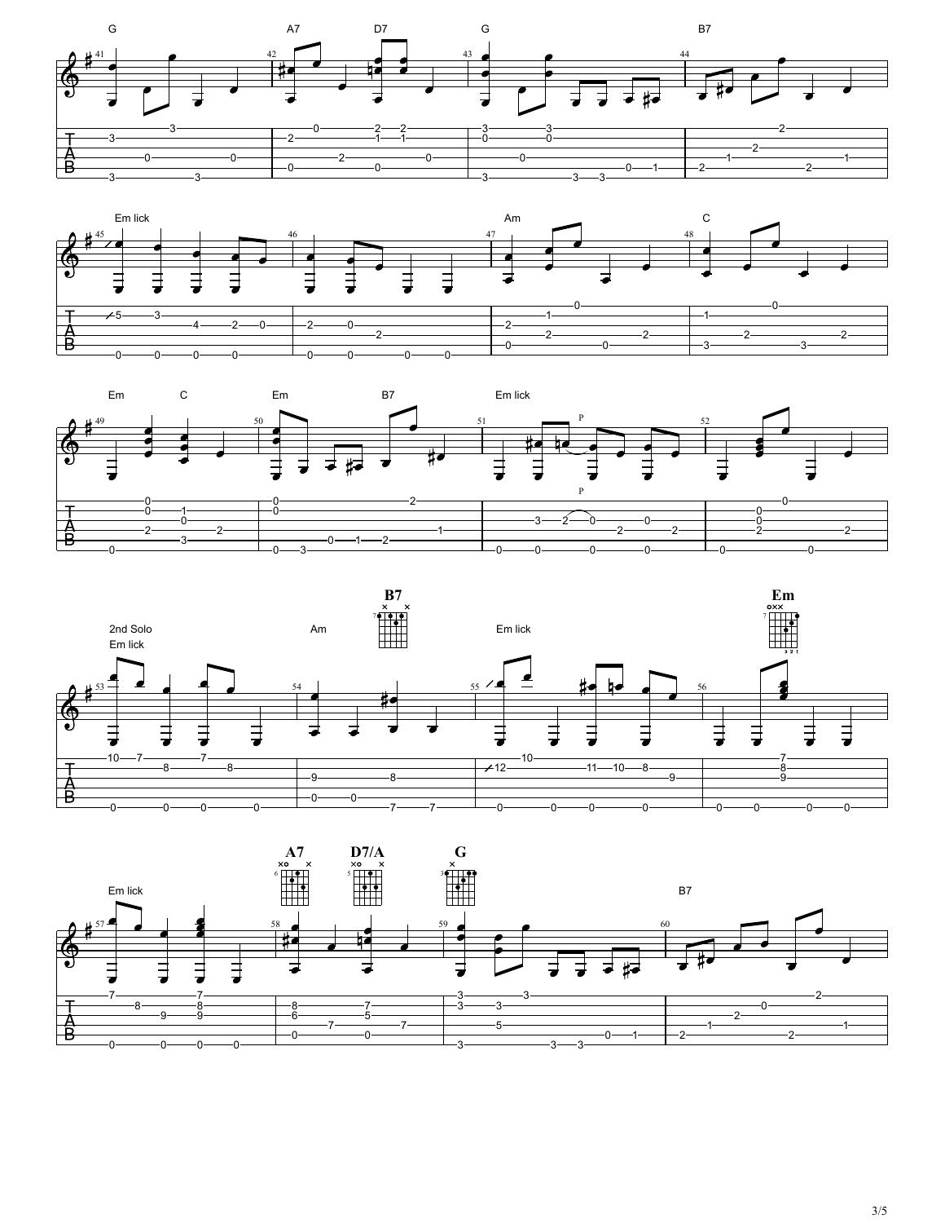







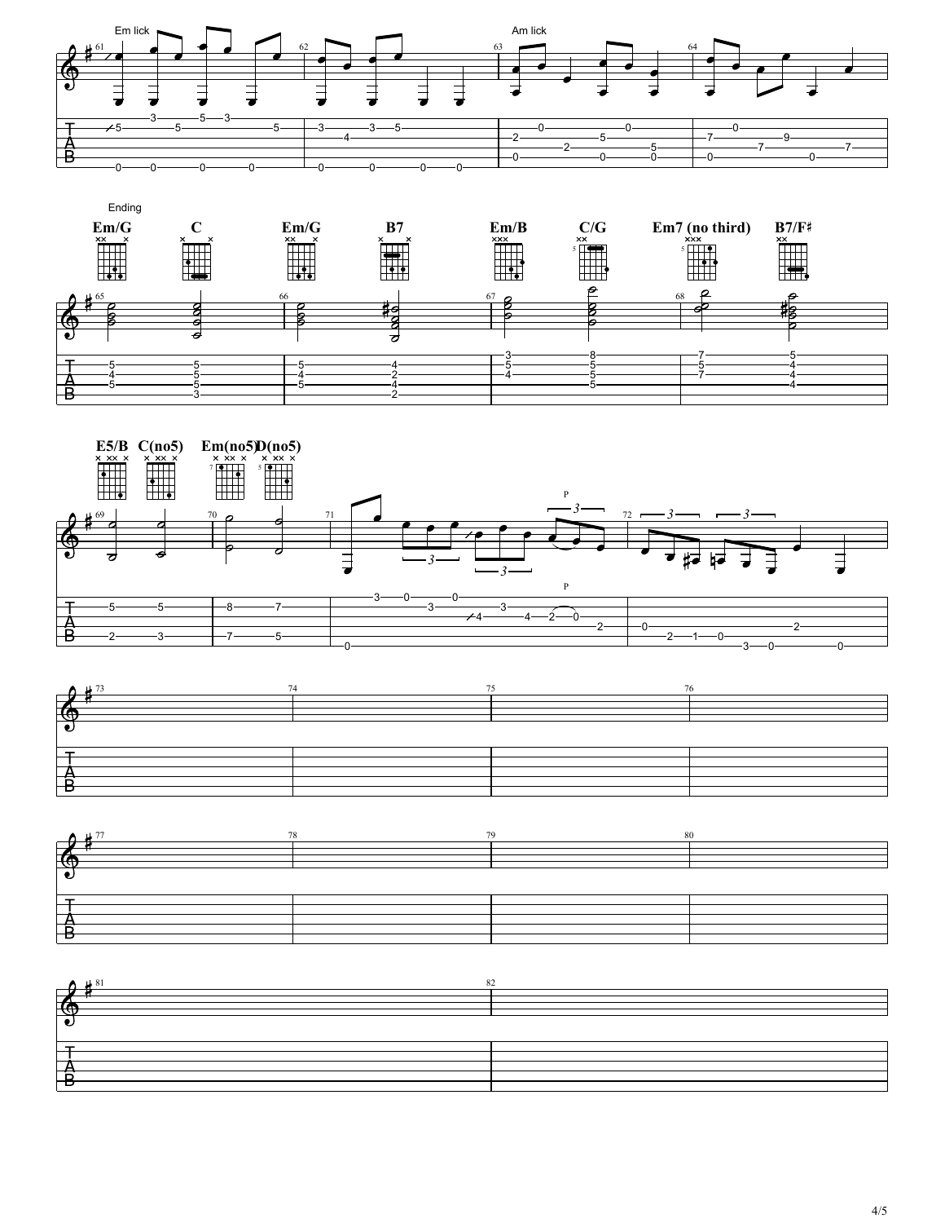









| <b>FG</b> |  |
|-----------|--|
|           |  |
|           |  |
|           |  |
|           |  |
|           |  |
|           |  |
|           |  |
| –         |  |